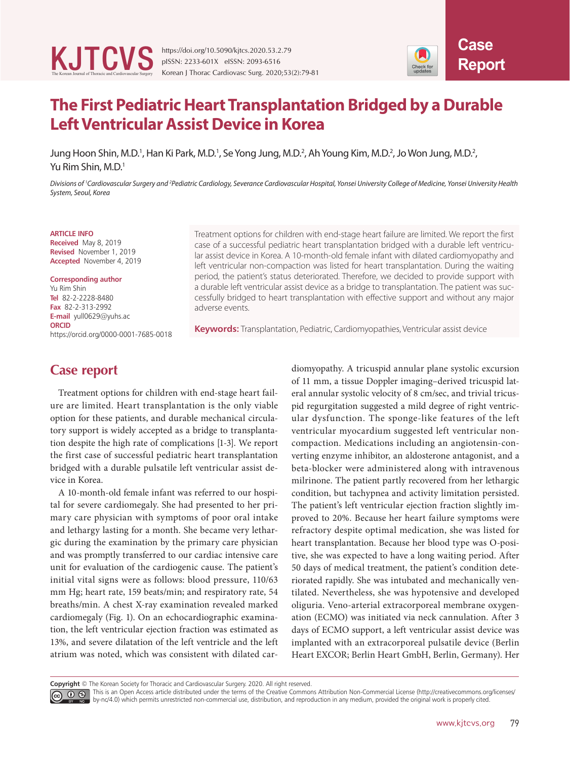

Korean J Thorac Cardiovasc Surg. 2020;53(2):79-81

## **The First Pediatric Heart Transplantation Bridged by a Durable Left Ventricular Assist Device in Korea**

Jung Hoon Shin, M.D.<sup>1</sup>, Han Ki Park, M.D.<sup>1</sup>, Se Yong Jung, M.D.<sup>2</sup>, Ah Young Kim, M.D.<sup>2</sup>, Jo Won Jung, M.D.<sup>2</sup>, Yu Rim Shin, M.D.<sup>1</sup>

*Divisions of 1 Cardiovascular Surgery and 2 Pediatric Cardiology, Severance Cardiovascular Hospital, Yonsei University College of Medicine, Yonsei University Health System, Seoul, Korea*

#### **ARTICLE INFO**

**Received** May 8, 2019 **Revised** November 1, 2019 **Accepted** November 4, 2019

### **Corresponding author** Yu Rim Shin **Tel** 82-2-2228-8480 **Fax** 82-2-313-2992 **E-mail** yull0629@yuhs.ac

**ORCID** https://orcid.org/0000-0001-7685-0018 Treatment options for children with end-stage heart failure are limited. We report the first case of a successful pediatric heart transplantation bridged with a durable left ventricular assist device in Korea. A 10-month-old female infant with dilated cardiomyopathy and left ventricular non-compaction was listed for heart transplantation. During the waiting period, the patient's status deteriorated. Therefore, we decided to provide support with a durable left ventricular assist device as a bridge to transplantation. The patient was successfully bridged to heart transplantation with effective support and without any major adverse events.

**Keywords:** Transplantation, Pediatric, Cardiomyopathies, Ventricular assist device

### **Case report**

Treatment options for children with end-stage heart failure are limited. Heart transplantation is the only viable option for these patients, and durable mechanical circulatory support is widely accepted as a bridge to transplantation despite the high rate of complications [1-3]. We report the first case of successful pediatric heart transplantation bridged with a durable pulsatile left ventricular assist device in Korea.

A 10-month-old female infant was referred to our hospital for severe cardiomegaly. She had presented to her primary care physician with symptoms of poor oral intake and lethargy lasting for a month. She became very lethargic during the examination by the primary care physician and was promptly transferred to our cardiac intensive care unit for evaluation of the cardiogenic cause. The patient's initial vital signs were as follows: blood pressure, 110/63 mm Hg; heart rate, 159 beats/min; and respiratory rate, 54 breaths/min. A chest X-ray examination revealed marked cardiomegaly (Fig. 1). On an echocardiographic examination, the left ventricular ejection fraction was estimated as 13%, and severe dilatation of the left ventricle and the left atrium was noted, which was consistent with dilated cardiomyopathy. A tricuspid annular plane systolic excursion of 11 mm, a tissue Doppler imaging–derived tricuspid lateral annular systolic velocity of 8 cm/sec, and trivial tricuspid regurgitation suggested a mild degree of right ventricular dysfunction. The sponge-like features of the left ventricular myocardium suggested left ventricular noncompaction. Medications including an angiotensin-converting enzyme inhibitor, an aldosterone antagonist, and a beta-blocker were administered along with intravenous milrinone. The patient partly recovered from her lethargic condition, but tachypnea and activity limitation persisted. The patient's left ventricular ejection fraction slightly improved to 20%. Because her heart failure symptoms were refractory despite optimal medication, she was listed for heart transplantation. Because her blood type was O-positive, she was expected to have a long waiting period. After 50 days of medical treatment, the patient's condition deteriorated rapidly. She was intubated and mechanically ventilated. Nevertheless, she was hypotensive and developed oliguria. Veno-arterial extracorporeal membrane oxygenation (ECMO) was initiated via neck cannulation. After 3 days of ECMO support, a left ventricular assist device was implanted with an extracorporeal pulsatile device (Berlin Heart EXCOR; Berlin Heart GmbH, Berlin, Germany). Her

**Copyright** © The Korean Society for Thoracic and Cardiovascular Surgery. 2020. All right reserved.

This is an Open Access article distributed under the terms of the Creative Commons Attribution Non-Commercial License (http://creativecommons.org/licenses/ by-nc/4.0) which permits unrestricted non-commercial use, distribution, and reproduction in any medium, provided the original work is properly cited.

**Case**

Check for<br>updates

**Report**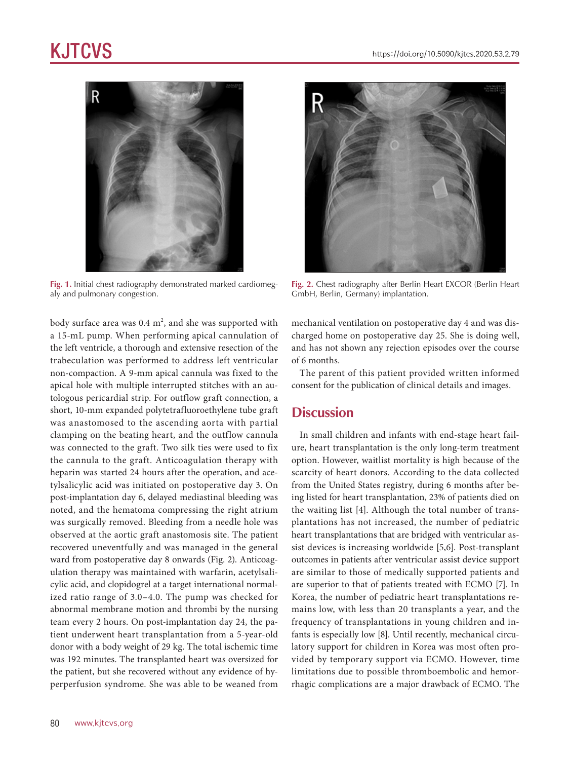# KJTCVS



**Fig. 1.** Initial chest radiography demonstrated marked cardiomegaly and pulmonary congestion.

body surface area was  $0.4 \text{ m}^2$ , and she was supported with a 15-mL pump. When performing apical cannulation of the left ventricle, a thorough and extensive resection of the trabeculation was performed to address left ventricular non-compaction. A 9-mm apical cannula was fixed to the apical hole with multiple interrupted stitches with an autologous pericardial strip. For outflow graft connection, a short, 10-mm expanded polytetrafluoroethylene tube graft was anastomosed to the ascending aorta with partial clamping on the beating heart, and the outflow cannula was connected to the graft. Two silk ties were used to fix the cannula to the graft. Anticoagulation therapy with heparin was started 24 hours after the operation, and acetylsalicylic acid was initiated on postoperative day 3. On post-implantation day 6, delayed mediastinal bleeding was noted, and the hematoma compressing the right atrium was surgically removed. Bleeding from a needle hole was observed at the aortic graft anastomosis site. The patient recovered uneventfully and was managed in the general ward from postoperative day 8 onwards (Fig. 2). Anticoagulation therapy was maintained with warfarin, acetylsalicylic acid, and clopidogrel at a target international normalized ratio range of 3.0–4.0. The pump was checked for abnormal membrane motion and thrombi by the nursing team every 2 hours. On post-implantation day 24, the patient underwent heart transplantation from a 5-year-old donor with a body weight of 29 kg. The total ischemic time was 192 minutes. The transplanted heart was oversized for the patient, but she recovered without any evidence of hyperperfusion syndrome. She was able to be weaned from



**Fig. 2.** Chest radiography after Berlin Heart EXCOR (Berlin Heart GmbH, Berlin, Germany) implantation.

mechanical ventilation on postoperative day 4 and was discharged home on postoperative day 25. She is doing well, and has not shown any rejection episodes over the course of 6 months.

The parent of this patient provided written informed consent for the publication of clinical details and images.

### **Discussion**

In small children and infants with end-stage heart failure, heart transplantation is the only long-term treatment option. However, waitlist mortality is high because of the scarcity of heart donors. According to the data collected from the United States registry, during 6 months after being listed for heart transplantation, 23% of patients died on the waiting list [4]. Although the total number of transplantations has not increased, the number of pediatric heart transplantations that are bridged with ventricular assist devices is increasing worldwide [5,6]. Post-transplant outcomes in patients after ventricular assist device support are similar to those of medically supported patients and are superior to that of patients treated with ECMO [7]. In Korea, the number of pediatric heart transplantations remains low, with less than 20 transplants a year, and the frequency of transplantations in young children and infants is especially low [8]. Until recently, mechanical circulatory support for children in Korea was most often provided by temporary support via ECMO. However, time limitations due to possible thromboembolic and hemorrhagic complications are a major drawback of ECMO. The